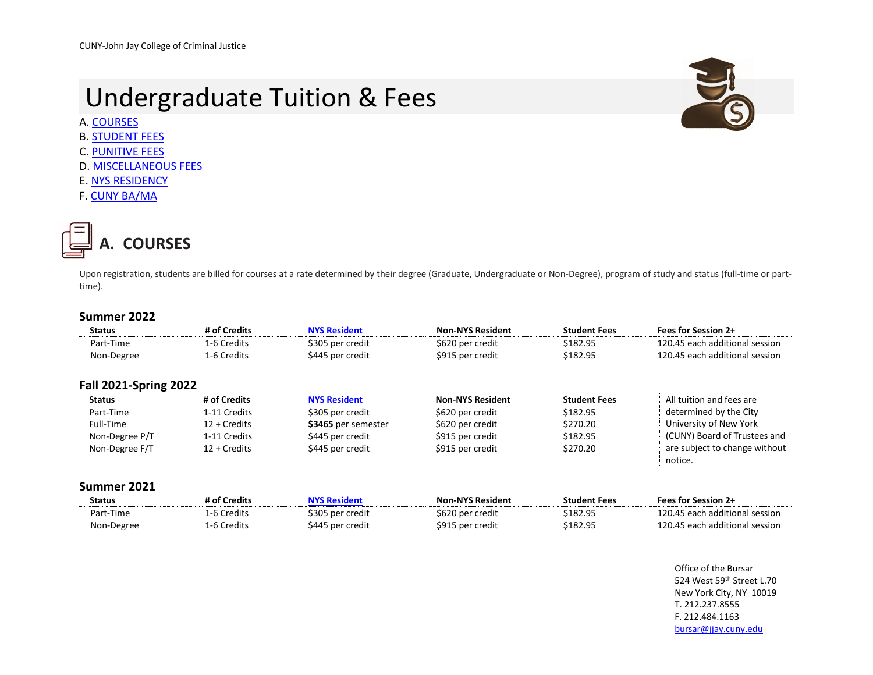# Undergraduate Tuition & Fees



- B. [STUDENT FEES](#page-1-0)
- C. [PUNITIVE FEES](#page-2-0)
- D. [MISCELLANEOUS FEES](#page-2-1)
- E[. NYS RESIDENCY](#page-3-0)
- F. [CUNY BA/MA](#page-3-1)

<span id="page-0-0"></span>

Upon registration, students are billed for courses at a rate determined by their degree (Graduate, Undergraduate or Non-Degree), program of study and status (full-time or parttime).

## **Summer 2022**

| <b>Status</b> | # of Credits | <b>NYS Resident</b> | <b>Non-NYS Resident</b> | <b>Student Fees</b> | <b>Fees for Session 2+</b>     |
|---------------|--------------|---------------------|-------------------------|---------------------|--------------------------------|
| Part-Time     | 1-6 Credits  | \$305 per credit    | \$620 per credit        | \$182.95            | 120.45 each additional session |
| Non-Degree    | 1-6 Credits  | \$445 per credit    | \$915 per credit        | \$182.95            | 120.45 each additional session |
|               |              |                     |                         |                     |                                |

### **Fall 2021-Spring 2022**

| <b>Status</b>  | # of Credits    | <b>NYS Resident</b> | <b>Non-NYS Resident</b> | <b>Student Fees</b> | All tuition and fees are      |
|----------------|-----------------|---------------------|-------------------------|---------------------|-------------------------------|
| Part-Time      | 1-11 Credits    | \$305 per credit    | \$620 per credit        | \$182.95            | determined by the City        |
| Full-Time      | 12 + Credits    | \$3465 per semester | \$620 per credit        | \$270.20            | University of New York        |
| Non-Degree P/T | 1-11 Credits    | \$445 per credit    | \$915 per credit        | \$182.95            | (CUNY) Board of Trustees and  |
| Non-Degree F/T | $12 + C$ redits | \$445 per credit    | \$915 per credit        | \$270.20            | are subject to change without |
|                |                 |                     |                         |                     | notice.                       |

#### **Summer 2021**

| <b>Status</b> | # of Credits | NYS Resident     | <b>Non-NYS Resident</b> | <b>Student Fees</b> | <b>Fees for Session 2+</b>     |
|---------------|--------------|------------------|-------------------------|---------------------|--------------------------------|
| Part-Time     | 1-6 Credits  | \$305 per credit | \$620 per credit        | \$182.95            | 120.45 each additional session |
| Non-Degree    | 1-6 Credits  | \$445 per credit | \$915 per credit        | \$182.95            | 120.45 each additional session |

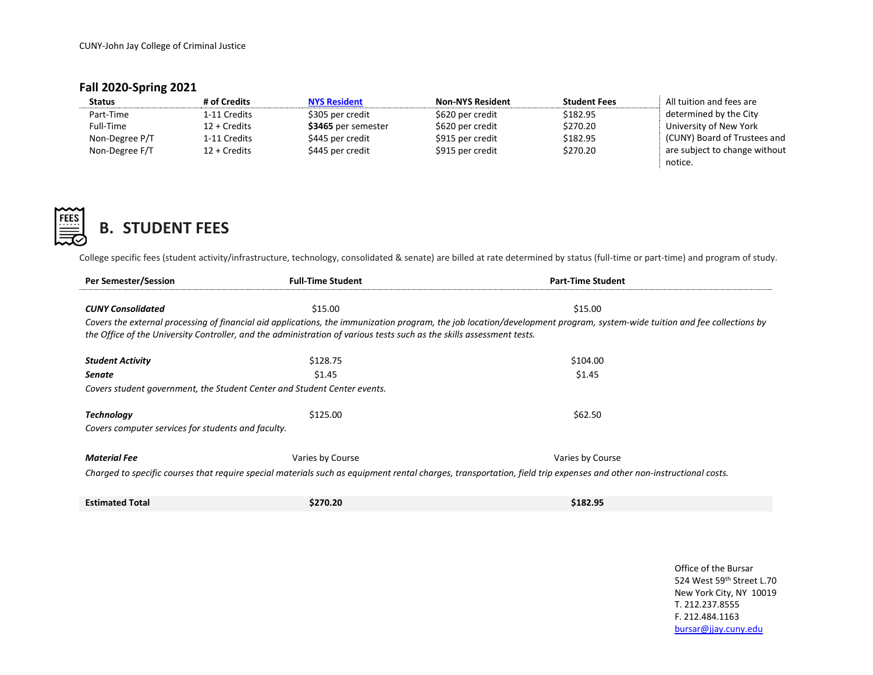CUNY-John Jay College of Criminal Justice

## **Fall 2020-Spring 2021**

| <b>Status</b>  | # of Credits    | <b>NYS Resident</b> | <b>Non-NYS Resident</b> | <b>Student Fees</b> | All tuition and fees are      |
|----------------|-----------------|---------------------|-------------------------|---------------------|-------------------------------|
| Part-Time      | 1-11 Credits    | \$305 per credit    | \$620 per credit        | \$182.95            | determined by the City        |
| Full-Time      | $12 + C$ redits | \$3465 per semester | \$620 per credit        | \$270.20            | University of New York        |
| Non-Degree P/T | 1-11 Credits    | \$445 per credit    | \$915 per credit        | \$182.95            | (CUNY) Board of Trustees and  |
| Non-Degree F/T | $12 + C$ redits | \$445 per credit    | \$915 per credit        | \$270.20            | are subject to change without |
|                |                 |                     |                         |                     | notice.                       |



# <span id="page-1-0"></span>**B. STUDENT FEES**

College specific fees (student activity/infrastructure, technology, consolidated & senate) are billed at rate determined by status (full-time or part-time) and program of study.

| Per Semester/Session                                                                                                                                                                                                                                                                              | <b>Full-Time Student</b> | <b>Part-Time Student</b> |  |  |
|---------------------------------------------------------------------------------------------------------------------------------------------------------------------------------------------------------------------------------------------------------------------------------------------------|--------------------------|--------------------------|--|--|
|                                                                                                                                                                                                                                                                                                   |                          |                          |  |  |
| <b>CUNY Consolidated</b>                                                                                                                                                                                                                                                                          | \$15.00                  | \$15.00                  |  |  |
| Covers the external processing of financial aid applications, the immunization program, the job location/development program, system-wide tuition and fee collections by<br>the Office of the University Controller, and the administration of various tests such as the skills assessment tests. |                          |                          |  |  |
| <b>Student Activity</b>                                                                                                                                                                                                                                                                           | \$128.75                 | \$104.00                 |  |  |
| <b>Senate</b>                                                                                                                                                                                                                                                                                     | \$1.45                   | \$1.45                   |  |  |
| Covers student government, the Student Center and Student Center events.                                                                                                                                                                                                                          |                          |                          |  |  |
|                                                                                                                                                                                                                                                                                                   |                          |                          |  |  |
| <b>Technology</b>                                                                                                                                                                                                                                                                                 | \$125.00                 | \$62.50                  |  |  |
| Covers computer services for students and faculty.                                                                                                                                                                                                                                                |                          |                          |  |  |
|                                                                                                                                                                                                                                                                                                   |                          |                          |  |  |
| <b>Material Fee</b>                                                                                                                                                                                                                                                                               | Varies by Course         | Varies by Course         |  |  |
| Charged to specific courses that require special materials such as equipment rental charges, transportation, field trip expenses and other non-instructional costs.                                                                                                                               |                          |                          |  |  |
|                                                                                                                                                                                                                                                                                                   |                          |                          |  |  |
| <b>Estimated Total</b>                                                                                                                                                                                                                                                                            | \$270.20                 | \$182.95                 |  |  |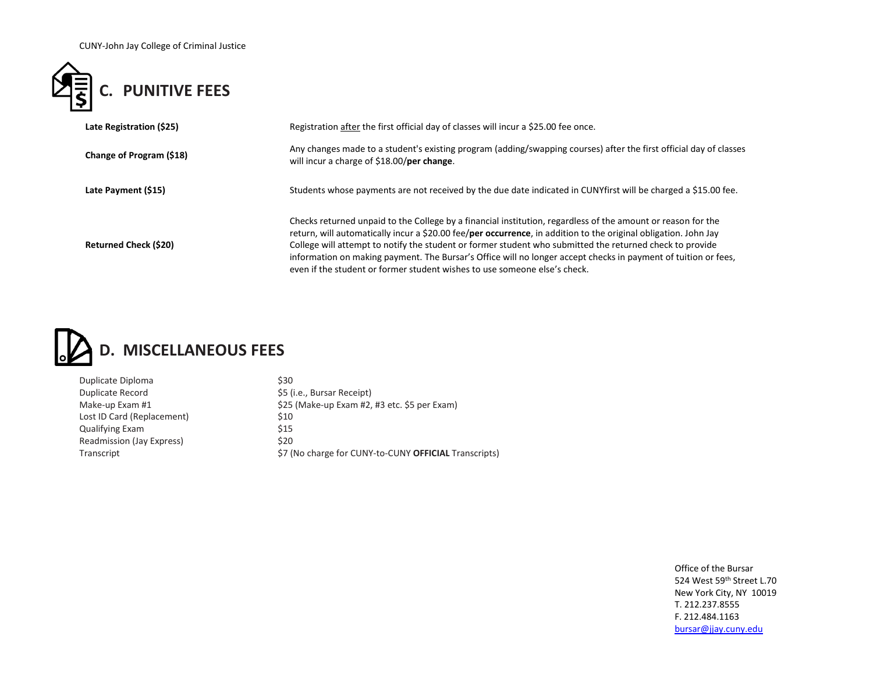CUNY-John Jay College of Criminal Justice



<span id="page-2-0"></span>

| Late Registration (\$25)     | Registration after the first official day of classes will incur a \$25.00 fee once.                                                                                                                                                                                                                                                                                                                                                                                                                                                        |  |
|------------------------------|--------------------------------------------------------------------------------------------------------------------------------------------------------------------------------------------------------------------------------------------------------------------------------------------------------------------------------------------------------------------------------------------------------------------------------------------------------------------------------------------------------------------------------------------|--|
| Change of Program (\$18)     | Any changes made to a student's existing program (adding/swapping courses) after the first official day of classes<br>will incur a charge of \$18.00/per change.                                                                                                                                                                                                                                                                                                                                                                           |  |
| Late Payment (\$15)          | Students whose payments are not received by the due date indicated in CUNYfirst will be charged a \$15.00 fee.                                                                                                                                                                                                                                                                                                                                                                                                                             |  |
| <b>Returned Check (\$20)</b> | Checks returned unpaid to the College by a financial institution, regardless of the amount or reason for the<br>return, will automatically incur a \$20.00 fee/per occurrence, in addition to the original obligation. John Jay<br>College will attempt to notify the student or former student who submitted the returned check to provide<br>information on making payment. The Bursar's Office will no longer accept checks in payment of tuition or fees,<br>even if the student or former student wishes to use someone else's check. |  |



<span id="page-2-1"></span>

| \$30                                                  |
|-------------------------------------------------------|
| \$5 (i.e., Bursar Receipt)                            |
| \$25 (Make-up Exam #2, #3 etc. \$5 per Exam)          |
| \$10                                                  |
| \$15                                                  |
| \$20                                                  |
| \$7 (No charge for CUNY-to-CUNY OFFICIAL Transcripts) |
|                                                       |